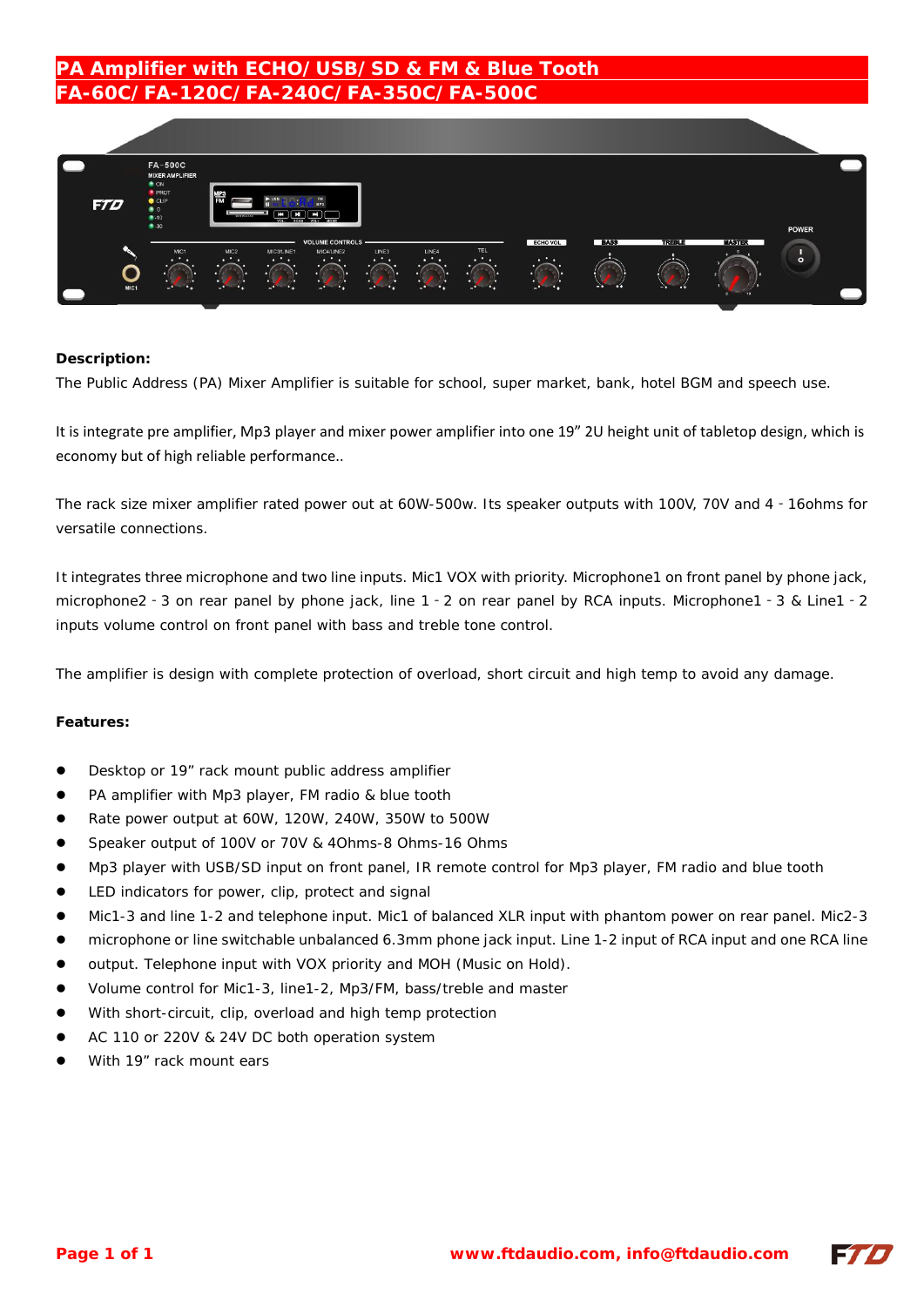# **PA Amplifier with ECHO/USB/SD & FM & Blue Tooth FA-60C/FA-120C/FA-240C/FA-350C/FA-500C**



### **Description:**

The Public Address (PA) Mixer Amplifier is suitable for school, super market, bank, hotel BGM and speech use.

It is integrate pre amplifier, Mp3 player and mixer power amplifier into one 19" 2U height unit of tabletop design, which is economy but of high reliable performance..

The rack size mixer amplifier rated power out at 60W-500w. Its speaker outputs with 100V, 70V and 4‐16ohms for versatile connections.

It integrates three microphone and two line inputs. Mic1 VOX with priority. Microphone1 on front panel by phone jack, microphone2‐3 on rear panel by phone jack, line 1‐2 on rear panel by RCA inputs. Microphone1‐3 & Line1‐2 inputs volume control on front panel with bass and treble tone control.

The amplifier is design with complete protection of overload, short circuit and high temp to avoid any damage.

#### **Features:**

- Desktop or 19" rack mount public address amplifier
- PA amplifier with Mp3 player, FM radio & blue tooth
- Rate power output at 60W, 120W, 240W, 350W to 500W
- Speaker output of 100V or 70V & 4Ohms-8 Ohms-16 Ohms
- Mp3 player with USB/SD input on front panel, IR remote control for Mp3 player, FM radio and blue tooth
- LED indicators for power, clip, protect and signal
- Mic1-3 and line 1-2 and telephone input. Mic1 of balanced XLR input with phantom power on rear panel. Mic2-3
- microphone or line switchable unbalanced 6.3mm phone jack input. Line 1-2 input of RCA input and one RCA line
- output. Telephone input with VOX priority and MOH (Music on Hold).
- Volume control for Mic1-3, line1-2, Mp3/FM, bass/treble and master
- With short-circuit, clip, overload and high temp protection
- AC 110 or 220V & 24V DC both operation system
- With 19" rack mount ears